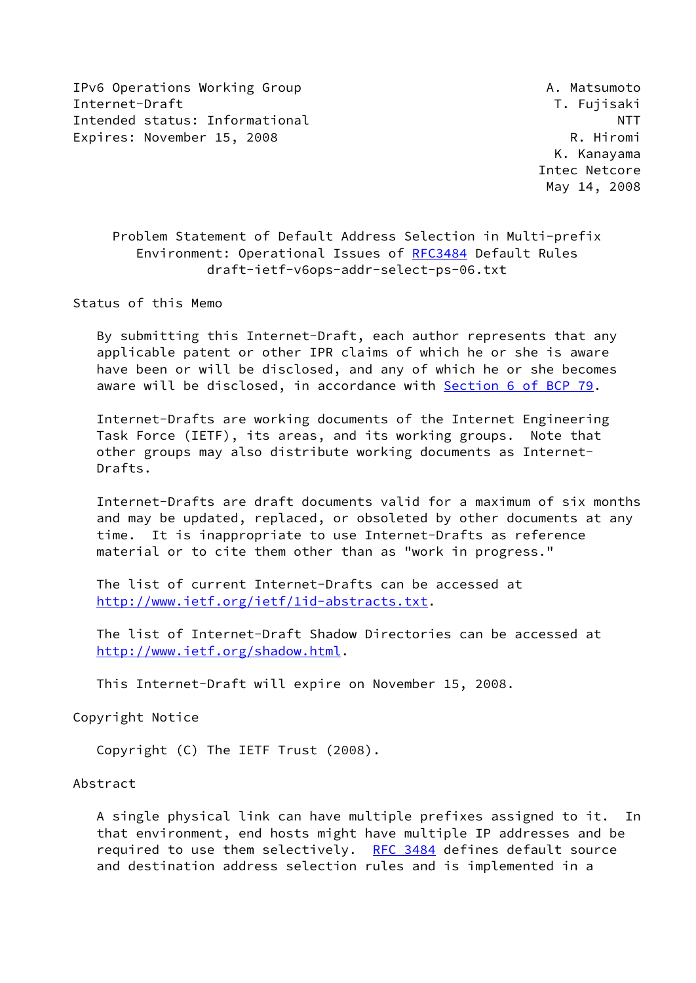IPv6 Operations Working Group **A. Matsumoto** Internet-Draft T. Fujisaki Intended status: Informational NTT Expires: November 15, 2008 R. Hiromi

 K. Kanayama Intec Netcore May 14, 2008

 Problem Statement of Default Address Selection in Multi-prefix Environment: Operational Issues of [RFC3484](https://datatracker.ietf.org/doc/pdf/rfc3484) Default Rules draft-ietf-v6ops-addr-select-ps-06.txt

Status of this Memo

 By submitting this Internet-Draft, each author represents that any applicable patent or other IPR claims of which he or she is aware have been or will be disclosed, and any of which he or she becomes aware will be disclosed, in accordance with Section [6 of BCP 79.](https://datatracker.ietf.org/doc/pdf/bcp79#section-6)

 Internet-Drafts are working documents of the Internet Engineering Task Force (IETF), its areas, and its working groups. Note that other groups may also distribute working documents as Internet- Drafts.

 Internet-Drafts are draft documents valid for a maximum of six months and may be updated, replaced, or obsoleted by other documents at any time. It is inappropriate to use Internet-Drafts as reference material or to cite them other than as "work in progress."

 The list of current Internet-Drafts can be accessed at <http://www.ietf.org/ietf/1id-abstracts.txt>.

 The list of Internet-Draft Shadow Directories can be accessed at <http://www.ietf.org/shadow.html>.

This Internet-Draft will expire on November 15, 2008.

Copyright Notice

Copyright (C) The IETF Trust (2008).

Abstract

 A single physical link can have multiple prefixes assigned to it. In that environment, end hosts might have multiple IP addresses and be required to use them selectively. [RFC 3484](https://datatracker.ietf.org/doc/pdf/rfc3484) defines default source and destination address selection rules and is implemented in a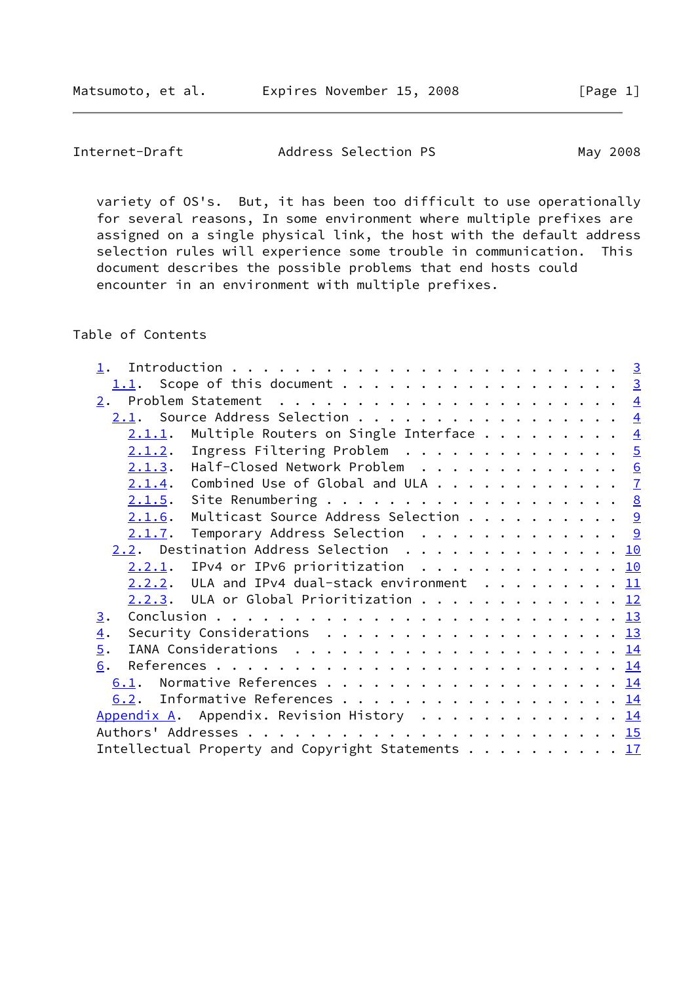| Internet-Draft | Address Selection PS | May 2008 |
|----------------|----------------------|----------|
|----------------|----------------------|----------|

 variety of OS's. But, it has been too difficult to use operationally for several reasons, In some environment where multiple prefixes are assigned on a single physical link, the host with the default address selection rules will experience some trouble in communication. This document describes the possible problems that end hosts could encounter in an environment with multiple prefixes.

# Table of Contents

| 1.1. Scope of this document 3                                                                               |                |
|-------------------------------------------------------------------------------------------------------------|----------------|
|                                                                                                             |                |
| 2.1. Source Address Selection                                                                               | $\overline{4}$ |
| Multiple Routers on Single Interface<br>2.1.1.                                                              | $\overline{4}$ |
| Ingress Filtering Problem $\ldots \ldots \ldots \ldots \ldots$<br>2.1.2.                                    |                |
| 2.1.3. Half-Closed Network Problem 6                                                                        |                |
| $2.1.4$ . Combined Use of Global and ULA $\frac{7}{2}$                                                      |                |
| $2.1.5$ . Site Renumbering 8                                                                                |                |
| Multicast Source Address Selection $\frac{9}{2}$<br>2.1.6.                                                  |                |
| Temporary Address Selection $\ldots \ldots \ldots \ldots$<br>2.1.7.                                         |                |
| 2.2. Destination Address Selection 10                                                                       |                |
| IPv4 or IPv6 prioritization 10<br>2.2.1.                                                                    |                |
| $2.2.2.$ ULA and IPv4 dual-stack environment 11                                                             |                |
| $2.2.3$ . ULA or Global Prioritization 12                                                                   |                |
| 3.                                                                                                          |                |
| Security Considerations $\ldots \ldots \ldots \ldots \ldots \ldots \ldots \frac{13}{2}$<br>$\overline{4}$ . |                |
| 5.                                                                                                          |                |
| 6.                                                                                                          |                |
| 6.1.                                                                                                        |                |
| 6.2. Informative References 14                                                                              |                |
| Appendix A. Appendix. Revision History 14                                                                   |                |
|                                                                                                             |                |
| Intellectual Property and Copyright Statements 17                                                           |                |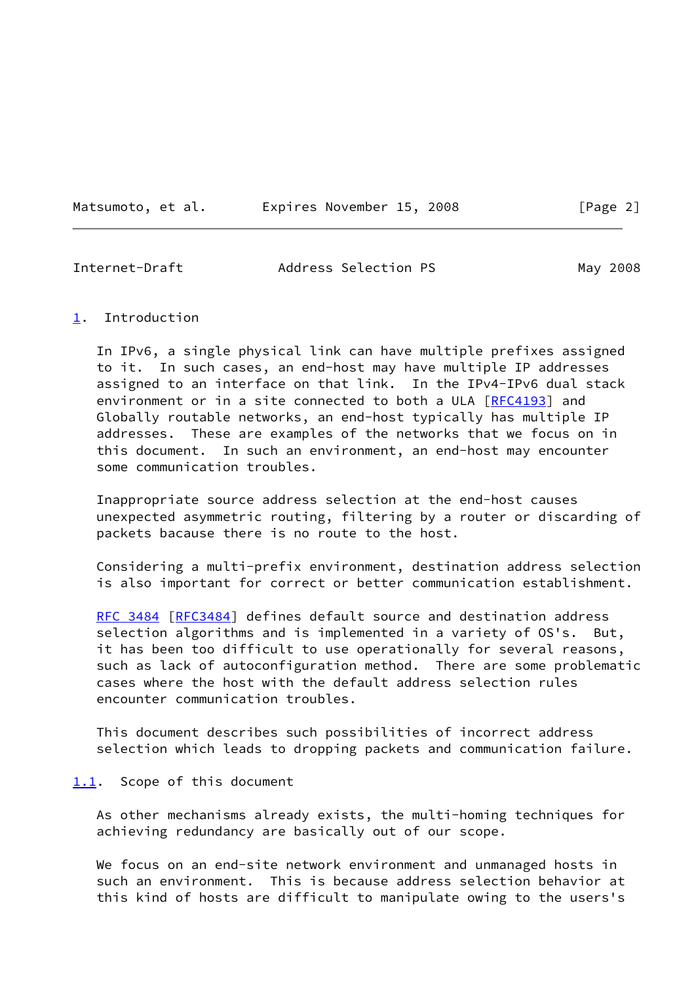Matsumoto, et al. Expires November 15, 2008 [Page 2]

<span id="page-2-1"></span>Internet-Draft Address Selection PS May 2008

## <span id="page-2-0"></span>[1](#page-2-0). Introduction

 In IPv6, a single physical link can have multiple prefixes assigned to it. In such cases, an end-host may have multiple IP addresses assigned to an interface on that link. In the IPv4-IPv6 dual stack environment or in a site connected to both a ULA [\[RFC4193](https://datatracker.ietf.org/doc/pdf/rfc4193)] and Globally routable networks, an end-host typically has multiple IP addresses. These are examples of the networks that we focus on in this document. In such an environment, an end-host may encounter some communication troubles.

 Inappropriate source address selection at the end-host causes unexpected asymmetric routing, filtering by a router or discarding of packets bacause there is no route to the host.

 Considering a multi-prefix environment, destination address selection is also important for correct or better communication establishment.

 [RFC 3484](https://datatracker.ietf.org/doc/pdf/rfc3484) [\[RFC3484](https://datatracker.ietf.org/doc/pdf/rfc3484)] defines default source and destination address selection algorithms and is implemented in a variety of OS's. But, it has been too difficult to use operationally for several reasons, such as lack of autoconfiguration method. There are some problematic cases where the host with the default address selection rules encounter communication troubles.

 This document describes such possibilities of incorrect address selection which leads to dropping packets and communication failure.

### <span id="page-2-2"></span>[1.1](#page-2-2). Scope of this document

 As other mechanisms already exists, the multi-homing techniques for achieving redundancy are basically out of our scope.

We focus on an end-site network environment and unmanaged hosts in such an environment. This is because address selection behavior at this kind of hosts are difficult to manipulate owing to the users's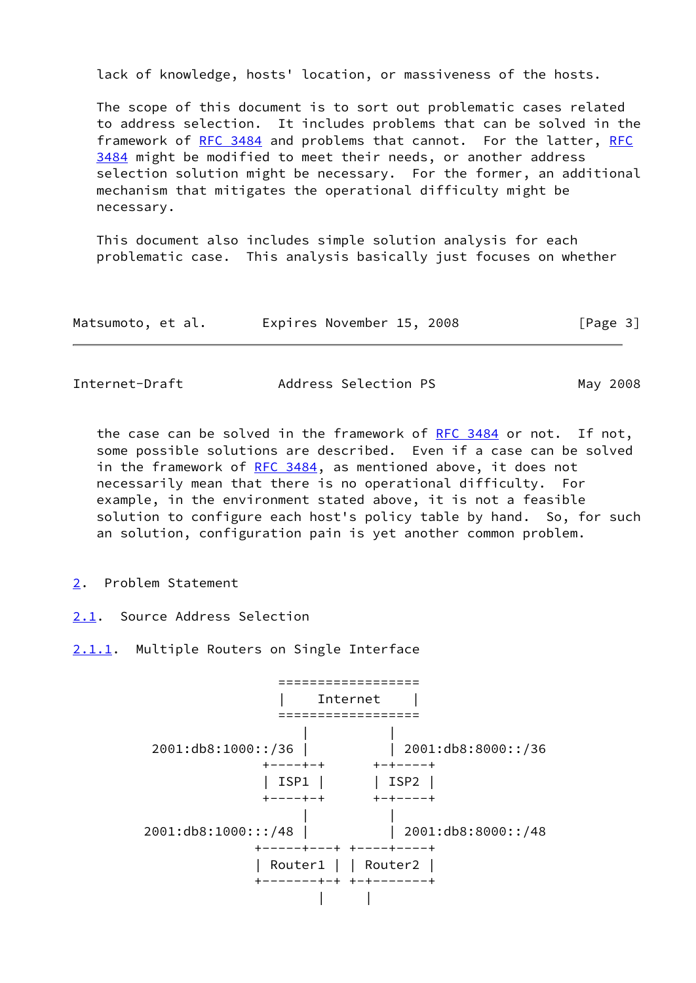lack of knowledge, hosts' location, or massiveness of the hosts.

 The scope of this document is to sort out problematic cases related to address selection. It includes problems that can be solved in the framework of [RFC 3484](https://datatracker.ietf.org/doc/pdf/rfc3484) and problems that cannot. For the latter, [RFC](https://datatracker.ietf.org/doc/pdf/rfc3484) [3484](https://datatracker.ietf.org/doc/pdf/rfc3484) might be modified to meet their needs, or another address selection solution might be necessary. For the former, an additional mechanism that mitigates the operational difficulty might be necessary.

 This document also includes simple solution analysis for each problematic case. This analysis basically just focuses on whether

| Matsumoto, et al. | Expires November 15, 2008 | [Page 3] |
|-------------------|---------------------------|----------|
|                   |                           |          |

<span id="page-3-1"></span>Internet-Draft Address Selection PS May 2008

 the case can be solved in the framework of [RFC 3484](https://datatracker.ietf.org/doc/pdf/rfc3484) or not. If not, some possible solutions are described. Even if a case can be solved in the framework of [RFC 3484,](https://datatracker.ietf.org/doc/pdf/rfc3484) as mentioned above, it does not necessarily mean that there is no operational difficulty. For example, in the environment stated above, it is not a feasible solution to configure each host's policy table by hand. So, for such an solution, configuration pain is yet another common problem.

- <span id="page-3-0"></span>[2](#page-3-0). Problem Statement
- <span id="page-3-2"></span>[2.1](#page-3-2). Source Address Selection
- <span id="page-3-3"></span>[2.1.1](#page-3-3). Multiple Routers on Single Interface

 ================== | Internet | ================== | | 2001:db8:1000::/36 | | 2001:db8:8000::/36 +----+-+ +-+----+ | ISP1 | | ISP2 | +----+-+ +-+----+ | | 2001:db8:1000:::/48 | | 2001:db8:8000::/48 +-----+---+ +----+----+ | Router1 | | Router2 | +-------+-+ +-+-------+ | |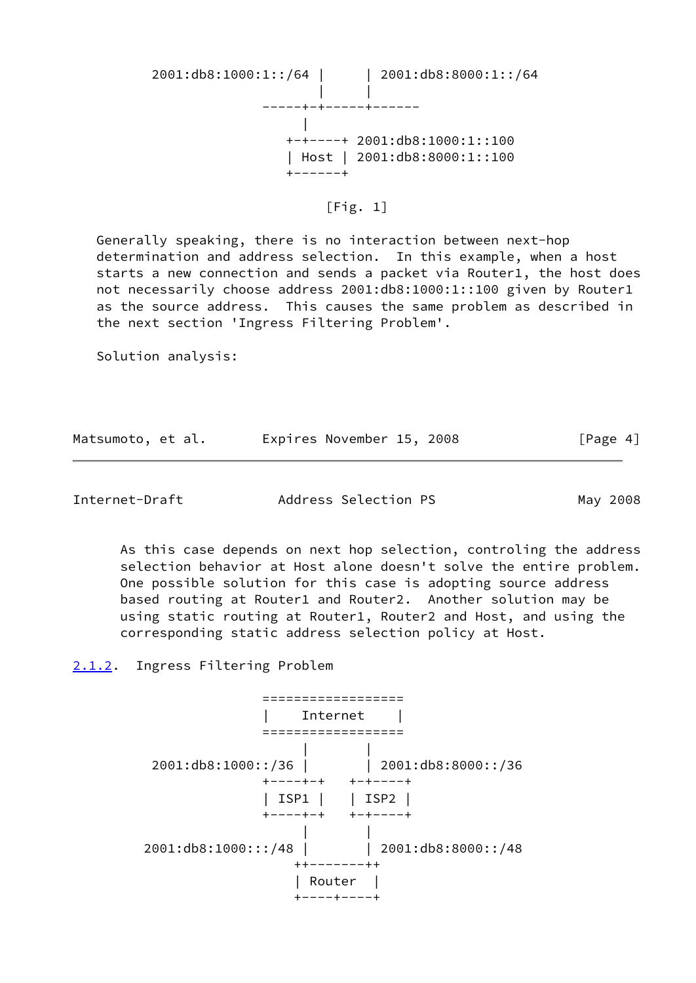2001:db8:1000:1::/64 | | 2001:db8:8000:1::/64 | | -----+-+-----+------ | +-+----+ 2001:db8:1000:1::100 | Host | 2001:db8:8000:1::100 +------+

[Fig. 1]

 Generally speaking, there is no interaction between next-hop determination and address selection. In this example, when a host starts a new connection and sends a packet via Router1, the host does not necessarily choose address 2001:db8:1000:1::100 given by Router1 as the source address. This causes the same problem as described in the next section 'Ingress Filtering Problem'.

Solution analysis:

| Matsumoto, et al. | Expires November 15, 2008 |  | [Page 4] |
|-------------------|---------------------------|--|----------|
|-------------------|---------------------------|--|----------|

<span id="page-4-1"></span>Internet-Draft Address Selection PS May 2008

 As this case depends on next hop selection, controling the address selection behavior at Host alone doesn't solve the entire problem. One possible solution for this case is adopting source address based routing at Router1 and Router2. Another solution may be using static routing at Router1, Router2 and Host, and using the corresponding static address selection policy at Host.

<span id="page-4-0"></span>[2.1.2](#page-4-0). Ingress Filtering Problem

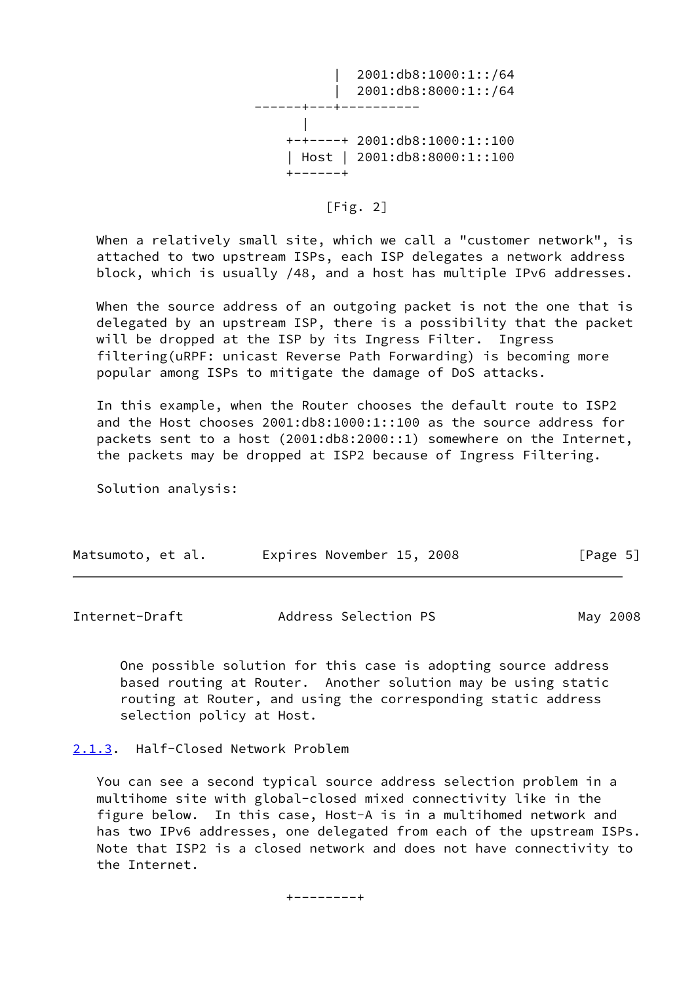

 $[Fig. 2]$ 

 When a relatively small site, which we call a "customer network", is attached to two upstream ISPs, each ISP delegates a network address block, which is usually /48, and a host has multiple IPv6 addresses.

 When the source address of an outgoing packet is not the one that is delegated by an upstream ISP, there is a possibility that the packet will be dropped at the ISP by its Ingress Filter. Ingress filtering(uRPF: unicast Reverse Path Forwarding) is becoming more popular among ISPs to mitigate the damage of DoS attacks.

 In this example, when the Router chooses the default route to ISP2 and the Host chooses 2001:db8:1000:1::100 as the source address for packets sent to a host (2001:db8:2000::1) somewhere on the Internet, the packets may be dropped at ISP2 because of Ingress Filtering.

Solution analysis:

| Matsumoto, et al. |  | Expires November 15, 2008 |  |  |  | [Page 5] |  |
|-------------------|--|---------------------------|--|--|--|----------|--|
|-------------------|--|---------------------------|--|--|--|----------|--|

<span id="page-5-1"></span>

| Internet-Draft | Address Selection PS | May 2008 |
|----------------|----------------------|----------|
|----------------|----------------------|----------|

 One possible solution for this case is adopting source address based routing at Router. Another solution may be using static routing at Router, and using the corresponding static address selection policy at Host.

<span id="page-5-0"></span>[2.1.3](#page-5-0). Half-Closed Network Problem

 You can see a second typical source address selection problem in a multihome site with global-closed mixed connectivity like in the figure below. In this case, Host-A is in a multihomed network and has two IPv6 addresses, one delegated from each of the upstream ISPs. Note that ISP2 is a closed network and does not have connectivity to the Internet.

+--------+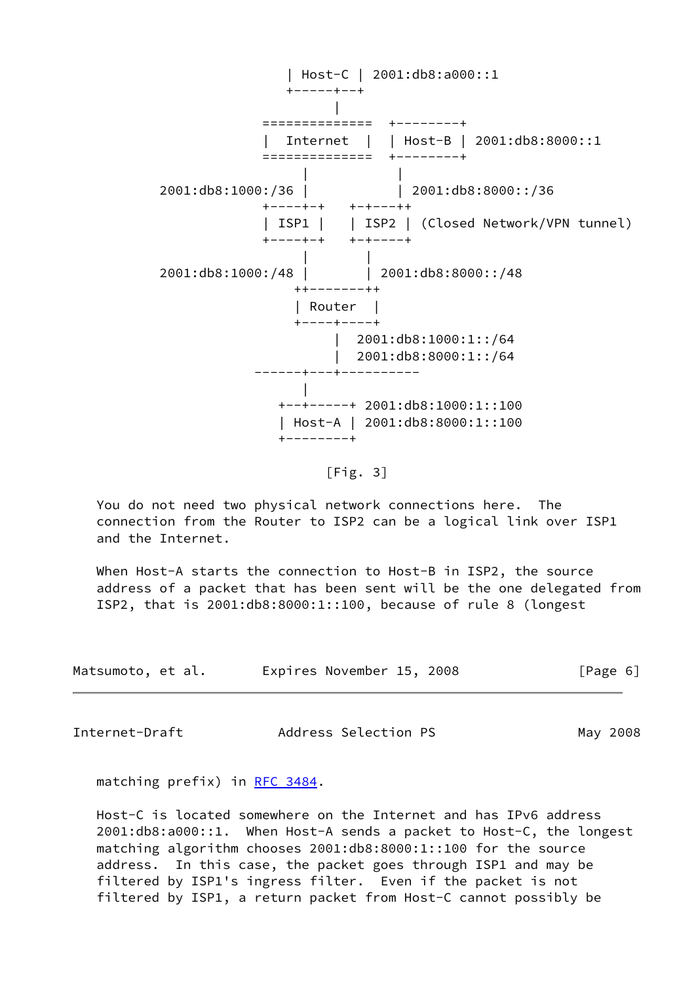| Host-C | 2001:db8:a000::1 +-----+--+ | ============== +--------+ | Internet | | Host-B | 2001:db8:8000::1 ============== +--------+ | | 2001:db8:1000:/36 | | 2001:db8:8000::/36 +----+-+ +-+---++ | ISP1 | | ISP2 | (Closed Network/VPN tunnel) +----+-+ +-+----+ | | 2001:db8:1000:/48 | | 2001:db8:8000::/48 ++-------++ | Router | +----+----+ | 2001:db8:1000:1::/64 | 2001:db8:8000:1::/64 ------+---+---------- | +--+-----+ 2001:db8:1000:1::100 | Host-A | 2001:db8:8000:1::100 +--------+

[Fig. 3]

 You do not need two physical network connections here. The connection from the Router to ISP2 can be a logical link over ISP1 and the Internet.

When Host-A starts the connection to Host-B in ISP2, the source address of a packet that has been sent will be the one delegated from ISP2, that is 2001:db8:8000:1::100, because of rule 8 (longest

| Matsumoto, et al. | Expires November 15, 2008 | [Page 6] |
|-------------------|---------------------------|----------|
|                   |                           |          |

<span id="page-6-0"></span>Internet-Draft Address Selection PS May 2008

matching prefix) in [RFC 3484.](https://datatracker.ietf.org/doc/pdf/rfc3484)

 Host-C is located somewhere on the Internet and has IPv6 address 2001:db8:a000::1. When Host-A sends a packet to Host-C, the longest matching algorithm chooses 2001:db8:8000:1::100 for the source address. In this case, the packet goes through ISP1 and may be filtered by ISP1's ingress filter. Even if the packet is not filtered by ISP1, a return packet from Host-C cannot possibly be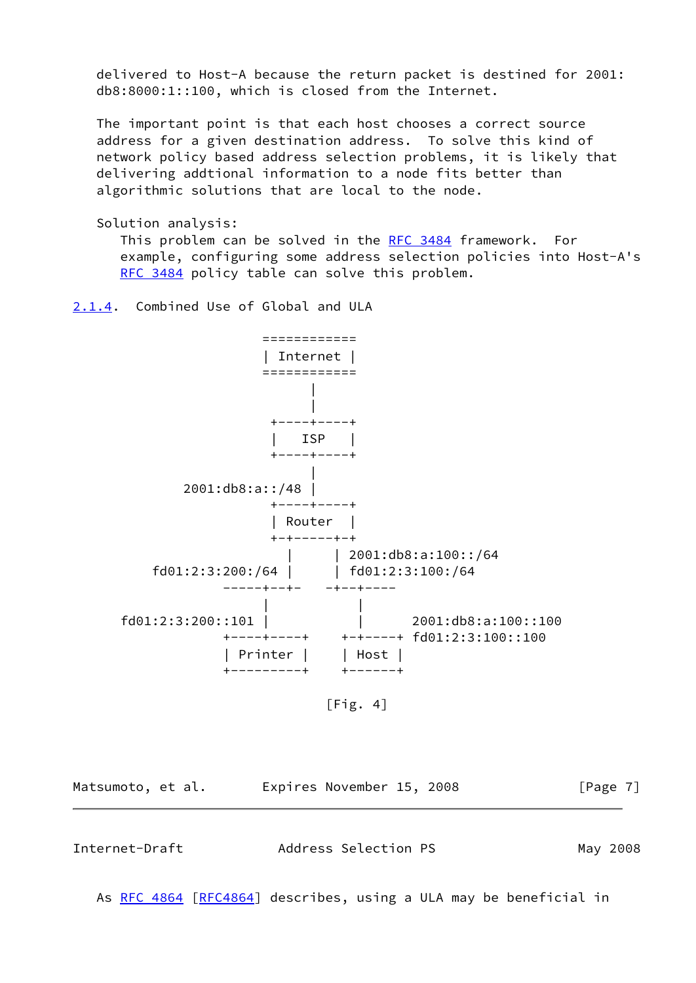delivered to Host-A because the return packet is destined for 2001: db8:8000:1::100, which is closed from the Internet.

 The important point is that each host chooses a correct source address for a given destination address. To solve this kind of network policy based address selection problems, it is likely that delivering addtional information to a node fits better than algorithmic solutions that are local to the node.

Solution analysis:

This problem can be solved in the [RFC 3484](https://datatracker.ietf.org/doc/pdf/rfc3484) framework. For example, configuring some address selection policies into Host-A's [RFC 3484](https://datatracker.ietf.org/doc/pdf/rfc3484) policy table can solve this problem.

<span id="page-7-0"></span>[2.1.4](#page-7-0). Combined Use of Global and ULA



[Fig. 4]

<span id="page-7-1"></span>

| Matsumoto, et al. | Expires November 15, 2008 | [Page $7$ ] |
|-------------------|---------------------------|-------------|
|                   |                           |             |
| Internet-Draft    | Address Selection PS      | May 2008    |

As [RFC 4864 \[RFC4864](https://datatracker.ietf.org/doc/pdf/rfc4864)] describes, using a ULA may be beneficial in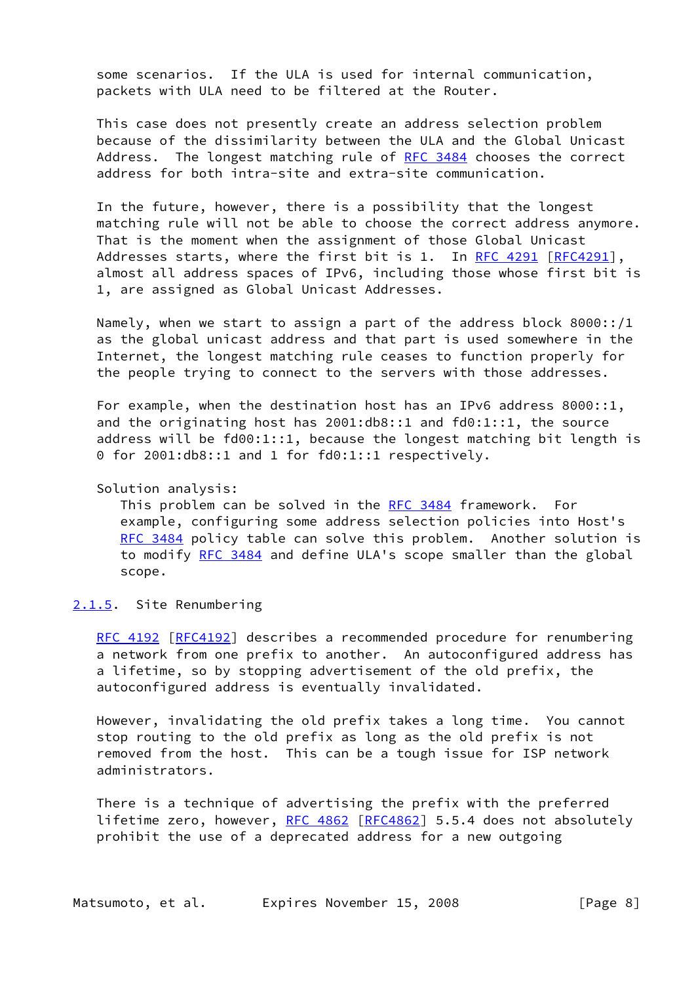some scenarios. If the ULA is used for internal communication, packets with ULA need to be filtered at the Router.

 This case does not presently create an address selection problem because of the dissimilarity between the ULA and the Global Unicast Address. The longest matching rule of [RFC 3484](https://datatracker.ietf.org/doc/pdf/rfc3484) chooses the correct address for both intra-site and extra-site communication.

 In the future, however, there is a possibility that the longest matching rule will not be able to choose the correct address anymore. That is the moment when the assignment of those Global Unicast Addresses starts, where the first bit is 1. In [RFC 4291](https://datatracker.ietf.org/doc/pdf/rfc4291) [\[RFC4291](https://datatracker.ietf.org/doc/pdf/rfc4291)], almost all address spaces of IPv6, including those whose first bit is 1, are assigned as Global Unicast Addresses.

Namely, when we start to assign a part of the address block  $8000::/1$  as the global unicast address and that part is used somewhere in the Internet, the longest matching rule ceases to function properly for the people trying to connect to the servers with those addresses.

 For example, when the destination host has an IPv6 address 8000::1, and the originating host has 2001:db8::1 and fd0:1::1, the source address will be fd00:1::1, because the longest matching bit length is 0 for 2001:db8::1 and 1 for fd0:1::1 respectively.

## Solution analysis:

This problem can be solved in the [RFC 3484](https://datatracker.ietf.org/doc/pdf/rfc3484) framework. For example, configuring some address selection policies into Host's [RFC 3484](https://datatracker.ietf.org/doc/pdf/rfc3484) policy table can solve this problem. Another solution is to modify [RFC 3484](https://datatracker.ietf.org/doc/pdf/rfc3484) and define ULA's scope smaller than the global scope.

#### <span id="page-8-0"></span>[2.1.5](#page-8-0). Site Renumbering

 [RFC 4192](https://datatracker.ietf.org/doc/pdf/rfc4192) [\[RFC4192](https://datatracker.ietf.org/doc/pdf/rfc4192)] describes a recommended procedure for renumbering a network from one prefix to another. An autoconfigured address has a lifetime, so by stopping advertisement of the old prefix, the autoconfigured address is eventually invalidated.

 However, invalidating the old prefix takes a long time. You cannot stop routing to the old prefix as long as the old prefix is not removed from the host. This can be a tough issue for ISP network administrators.

 There is a technique of advertising the prefix with the preferred lifetime zero, however, [RFC 4862](https://datatracker.ietf.org/doc/pdf/rfc4862) [\[RFC4862](https://datatracker.ietf.org/doc/pdf/rfc4862)] 5.5.4 does not absolutely prohibit the use of a deprecated address for a new outgoing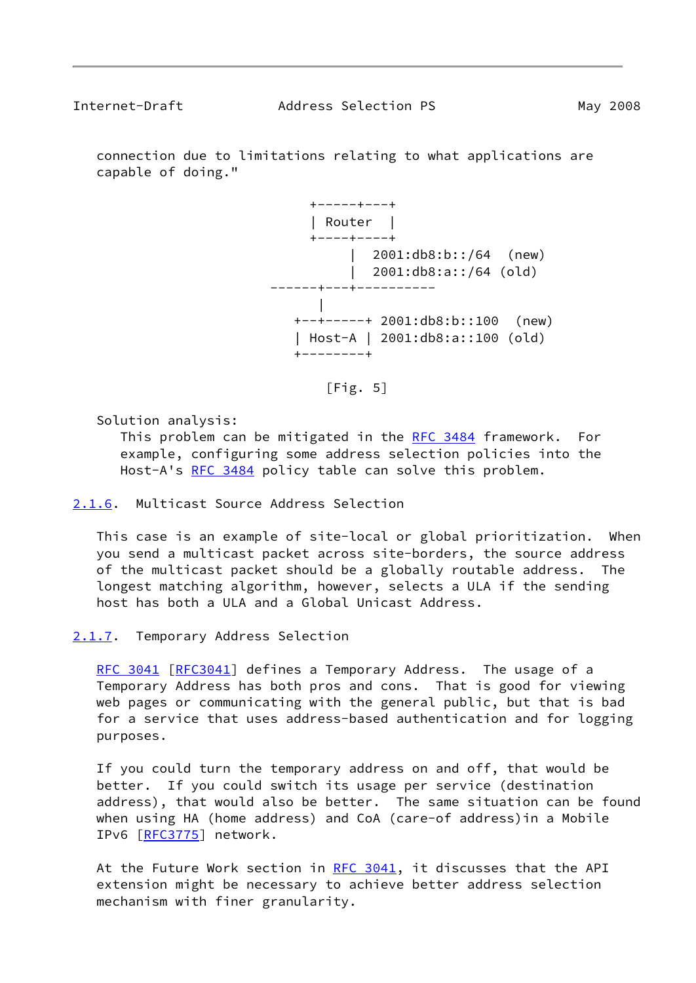<span id="page-9-1"></span> connection due to limitations relating to what applications are capable of doing."



 $[Fig. 5]$ 

Solution analysis:

This problem can be mitigated in the [RFC 3484](https://datatracker.ietf.org/doc/pdf/rfc3484) framework. For example, configuring some address selection policies into the Host-A's [RFC 3484](https://datatracker.ietf.org/doc/pdf/rfc3484) policy table can solve this problem.

<span id="page-9-0"></span>[2.1.6](#page-9-0). Multicast Source Address Selection

 This case is an example of site-local or global prioritization. When you send a multicast packet across site-borders, the source address of the multicast packet should be a globally routable address. The longest matching algorithm, however, selects a ULA if the sending host has both a ULA and a Global Unicast Address.

<span id="page-9-2"></span>[2.1.7](#page-9-2). Temporary Address Selection

[RFC 3041](https://datatracker.ietf.org/doc/pdf/rfc3041) [\[RFC3041](https://datatracker.ietf.org/doc/pdf/rfc3041)] defines a Temporary Address. The usage of a Temporary Address has both pros and cons. That is good for viewing web pages or communicating with the general public, but that is bad for a service that uses address-based authentication and for logging purposes.

 If you could turn the temporary address on and off, that would be better. If you could switch its usage per service (destination address), that would also be better. The same situation can be found when using HA (home address) and CoA (care-of address)in a Mobile IPv6 [\[RFC3775](https://datatracker.ietf.org/doc/pdf/rfc3775)] network.

At the Future Work section in [RFC 3041](https://datatracker.ietf.org/doc/pdf/rfc3041), it discusses that the API extension might be necessary to achieve better address selection mechanism with finer granularity.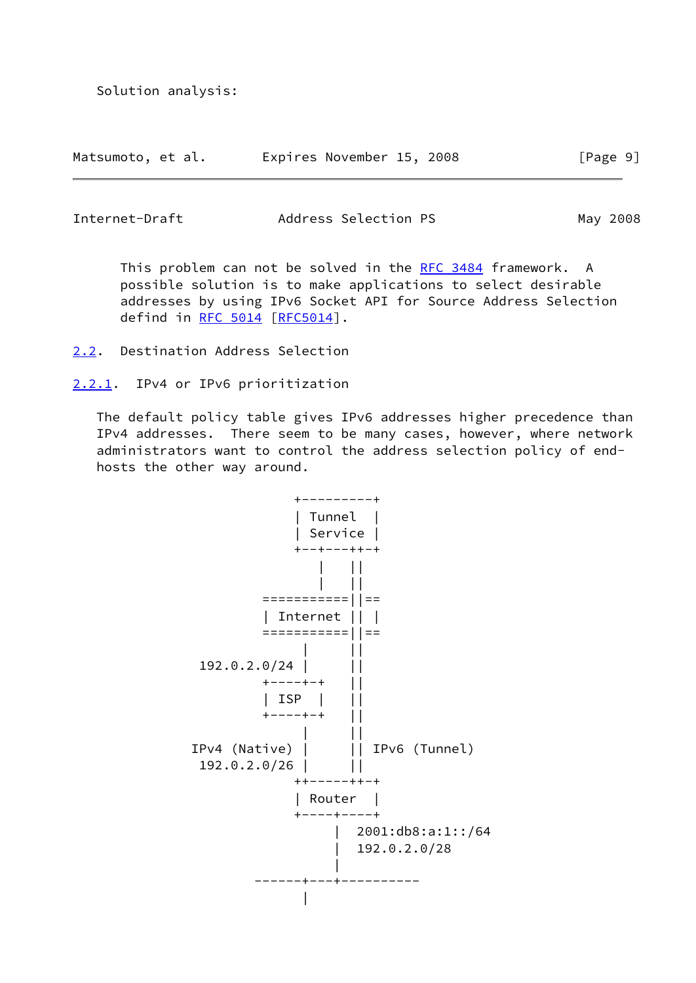Solution analysis:

| Matsumoto, et al. |  | Expires November 15, 2008 |  | [Page 9] |
|-------------------|--|---------------------------|--|----------|
|                   |  |                           |  |          |

<span id="page-10-1"></span>Internet-Draft Address Selection PS May 2008

This problem can not be solved in the [RFC 3484](https://datatracker.ietf.org/doc/pdf/rfc3484) framework. A possible solution is to make applications to select desirable addresses by using IPv6 Socket API for Source Address Selection defind in [RFC 5014](https://datatracker.ietf.org/doc/pdf/rfc5014) [[RFC5014](https://datatracker.ietf.org/doc/pdf/rfc5014)].

- <span id="page-10-0"></span>[2.2](#page-10-0). Destination Address Selection
- <span id="page-10-2"></span>[2.2.1](#page-10-2). IPv4 or IPv6 prioritization

 The default policy table gives IPv6 addresses higher precedence than IPv4 addresses. There seem to be many cases, however, where network administrators want to control the address selection policy of end hosts the other way around.

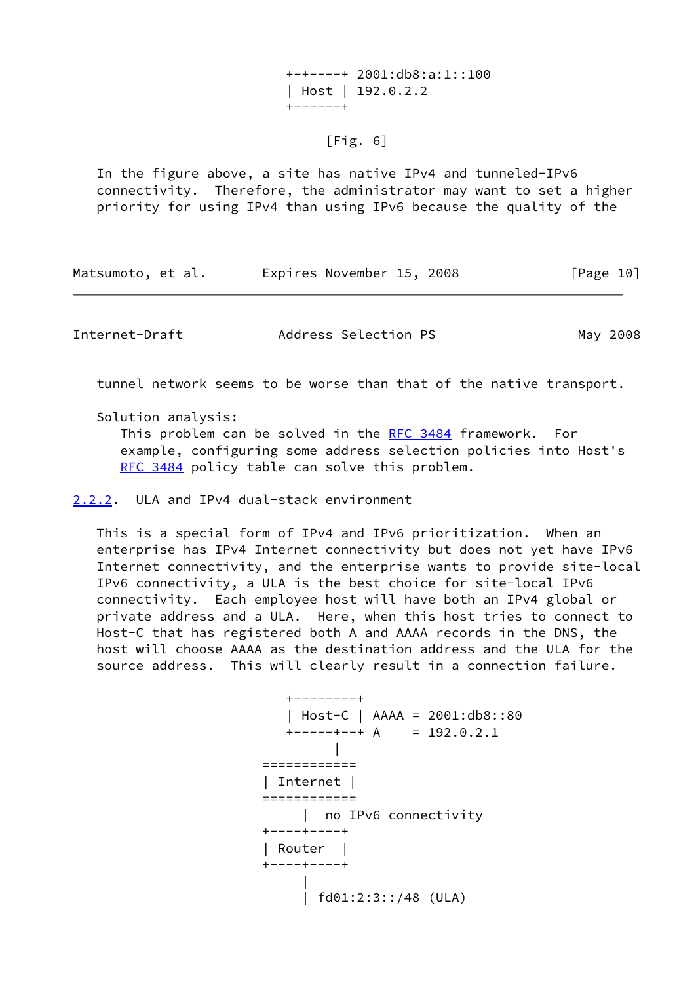+-+----+ 2001:db8:a:1::100 | Host | 192.0.2.2 +------+

# [Fig. 6]

 In the figure above, a site has native IPv4 and tunneled-IPv6 connectivity. Therefore, the administrator may want to set a higher priority for using IPv4 than using IPv6 because the quality of the

| Matsumoto, et al. | Expires November 15, 2008 | [Page 10] |
|-------------------|---------------------------|-----------|
|-------------------|---------------------------|-----------|

<span id="page-11-1"></span>Internet-Draft Address Selection PS May 2008

tunnel network seems to be worse than that of the native transport.

Solution analysis:

 This problem can be solved in the [RFC 3484](https://datatracker.ietf.org/doc/pdf/rfc3484) framework. For example, configuring some address selection policies into Host's [RFC 3484](https://datatracker.ietf.org/doc/pdf/rfc3484) policy table can solve this problem.

<span id="page-11-0"></span>[2.2.2](#page-11-0). ULA and IPv4 dual-stack environment

 This is a special form of IPv4 and IPv6 prioritization. When an enterprise has IPv4 Internet connectivity but does not yet have IPv6 Internet connectivity, and the enterprise wants to provide site-local IPv6 connectivity, a ULA is the best choice for site-local IPv6 connectivity. Each employee host will have both an IPv4 global or private address and a ULA. Here, when this host tries to connect to Host-C that has registered both A and AAAA records in the DNS, the host will choose AAAA as the destination address and the ULA for the source address. This will clearly result in a connection failure.

 +--------+ | Host-C | AAAA = 2001:db8::80  $+---++A = 192.0.2.1$  | ============ | Internet | ============ | no IPv6 connectivity +----+----+ | Router | +----+----+ | | fd01:2:3::/48 (ULA)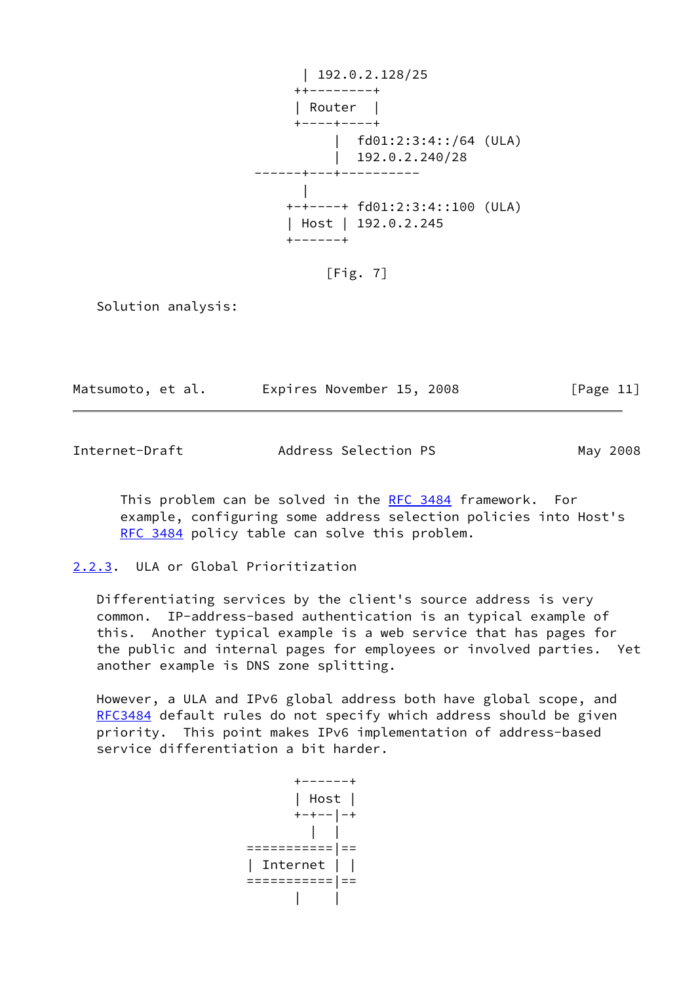| 192.0.2.128/25 ++--------+ | Router | +----+----+ | fd01:2:3:4::/64 (ULA)  $\vert$  192.0.2.240/28 ------+---+---------- | +-+----+ fd01:2:3:4::100 (ULA) | Host | 192.0.2.245 +------+

[Fig. 7]

Solution analysis:

| Matsumoto, et al. |  | Expires November 15, 2008 |  |  |  | [Page 11] |
|-------------------|--|---------------------------|--|--|--|-----------|
|-------------------|--|---------------------------|--|--|--|-----------|

<span id="page-12-1"></span>Internet-Draft Address Selection PS May 2008

 This problem can be solved in the [RFC 3484](https://datatracker.ietf.org/doc/pdf/rfc3484) framework. For example, configuring some address selection policies into Host's [RFC 3484](https://datatracker.ietf.org/doc/pdf/rfc3484) policy table can solve this problem.

<span id="page-12-0"></span>[2.2.3](#page-12-0). ULA or Global Prioritization

 Differentiating services by the client's source address is very common. IP-address-based authentication is an typical example of this. Another typical example is a web service that has pages for the public and internal pages for employees or involved parties. Yet another example is DNS zone splitting.

 However, a ULA and IPv6 global address both have global scope, and [RFC3484](https://datatracker.ietf.org/doc/pdf/rfc3484) default rules do not specify which address should be given priority. This point makes IPv6 implementation of address-based service differentiation a bit harder.

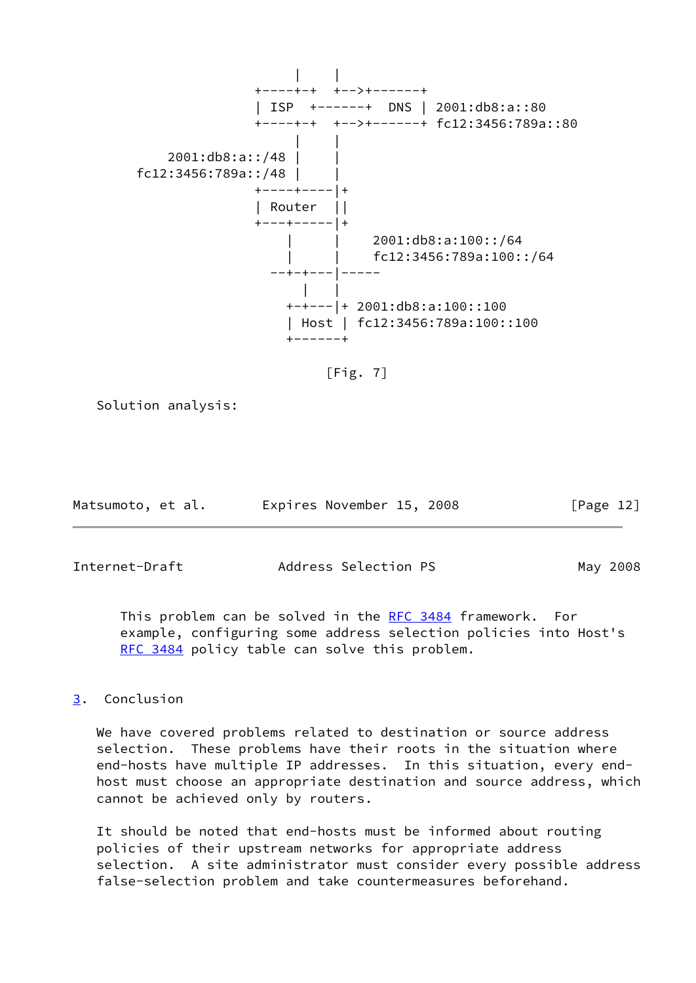

 $[Fig. 7]$ 

Solution analysis:

| Matsumoto, et al. |  | Expires November 15, 2008 |  | [Page 12] |  |
|-------------------|--|---------------------------|--|-----------|--|
|                   |  |                           |  |           |  |

<span id="page-13-1"></span>Internet-Draft Address Selection PS May 2008

 This problem can be solved in the [RFC 3484](https://datatracker.ietf.org/doc/pdf/rfc3484) framework. For example, configuring some address selection policies into Host's [RFC 3484](https://datatracker.ietf.org/doc/pdf/rfc3484) policy table can solve this problem.

# <span id="page-13-0"></span>[3](#page-13-0). Conclusion

 We have covered problems related to destination or source address selection. These problems have their roots in the situation where end-hosts have multiple IP addresses. In this situation, every end host must choose an appropriate destination and source address, which cannot be achieved only by routers.

 It should be noted that end-hosts must be informed about routing policies of their upstream networks for appropriate address selection. A site administrator must consider every possible address false-selection problem and take countermeasures beforehand.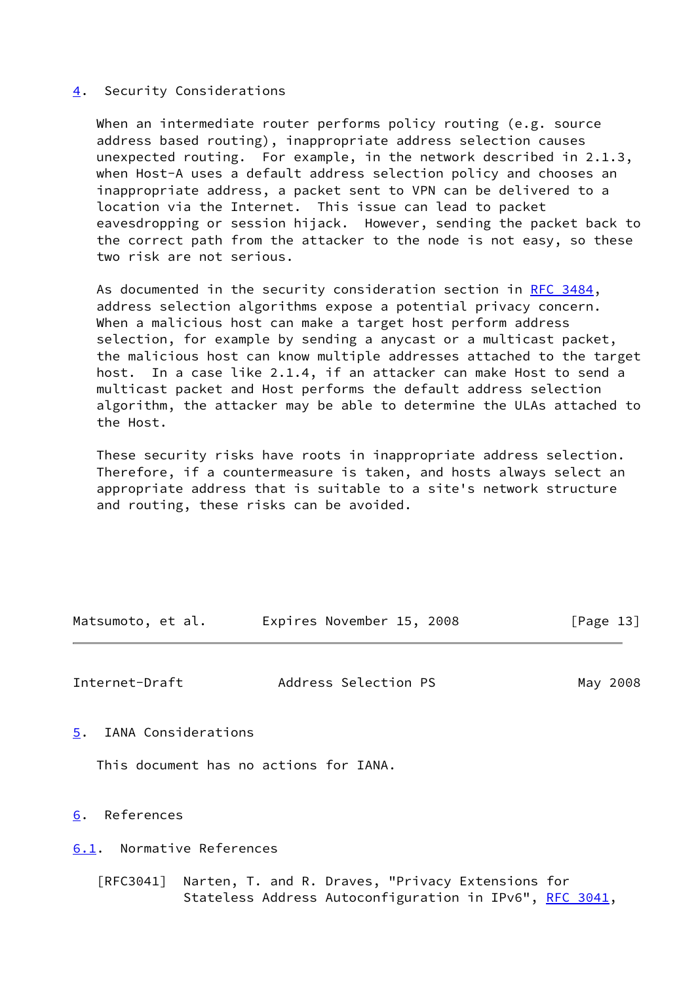## <span id="page-14-0"></span>[4](#page-14-0). Security Considerations

When an intermediate router performs policy routing (e.g. source address based routing), inappropriate address selection causes unexpected routing. For example, in the network described in 2.1.3, when Host-A uses a default address selection policy and chooses an inappropriate address, a packet sent to VPN can be delivered to a location via the Internet. This issue can lead to packet eavesdropping or session hijack. However, sending the packet back to the correct path from the attacker to the node is not easy, so these two risk are not serious.

As documented in the security consideration section in [RFC 3484,](https://datatracker.ietf.org/doc/pdf/rfc3484) address selection algorithms expose a potential privacy concern. When a malicious host can make a target host perform address selection, for example by sending a anycast or a multicast packet, the malicious host can know multiple addresses attached to the target host. In a case like 2.1.4, if an attacker can make Host to send a multicast packet and Host performs the default address selection algorithm, the attacker may be able to determine the ULAs attached to the Host.

 These security risks have roots in inappropriate address selection. Therefore, if a countermeasure is taken, and hosts always select an appropriate address that is suitable to a site's network structure and routing, these risks can be avoided.

| Matsumoto, et al. | Expires November 15, 2008 |  | [Page 13] |  |
|-------------------|---------------------------|--|-----------|--|
|                   |                           |  |           |  |

<span id="page-14-2"></span>Internet-Draft Address Selection PS May 2008

<span id="page-14-1"></span>[5](#page-14-1). IANA Considerations

This document has no actions for IANA.

<span id="page-14-3"></span>[6](#page-14-3). References

<span id="page-14-4"></span>[6.1](#page-14-4). Normative References

 [RFC3041] Narten, T. and R. Draves, "Privacy Extensions for Stateless Address Autoconfiguration in IPv6", [RFC 3041](https://datatracker.ietf.org/doc/pdf/rfc3041),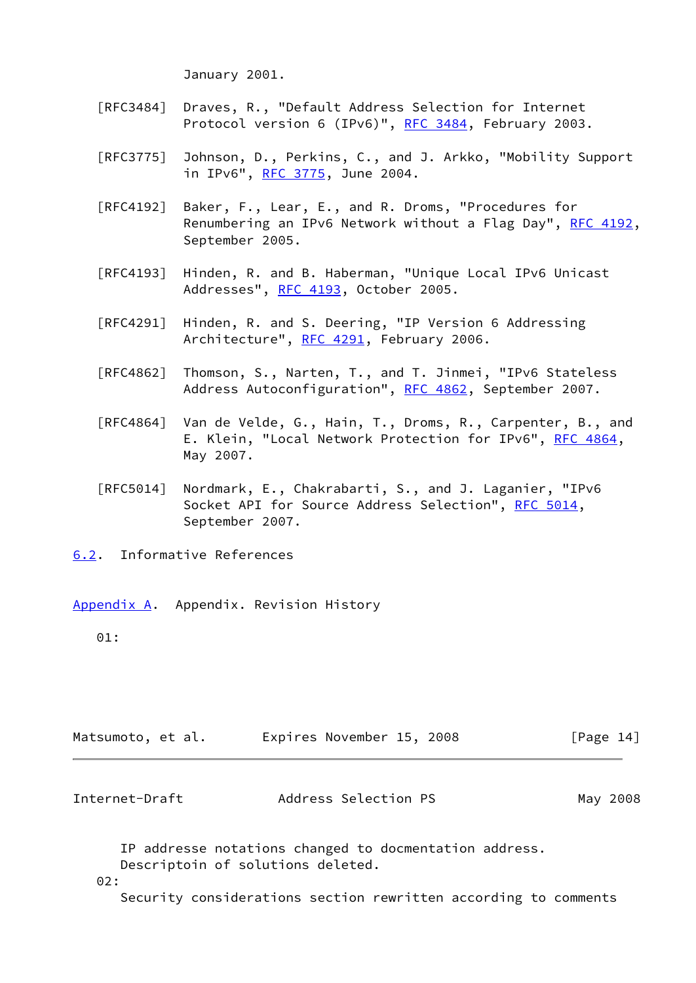January 2001.

- [RFC3484] Draves, R., "Default Address Selection for Internet Protocol version 6 (IPv6)", [RFC 3484,](https://datatracker.ietf.org/doc/pdf/rfc3484) February 2003.
- [RFC3775] Johnson, D., Perkins, C., and J. Arkko, "Mobility Support in IPv6", [RFC 3775](https://datatracker.ietf.org/doc/pdf/rfc3775), June 2004.
- [RFC4192] Baker, F., Lear, E., and R. Droms, "Procedures for Renumbering an IPv6 Network without a Flag Day", [RFC 4192,](https://datatracker.ietf.org/doc/pdf/rfc4192) September 2005.
- [RFC4193] Hinden, R. and B. Haberman, "Unique Local IPv6 Unicast Addresses", [RFC 4193,](https://datatracker.ietf.org/doc/pdf/rfc4193) October 2005.
- [RFC4291] Hinden, R. and S. Deering, "IP Version 6 Addressing Architecture", [RFC 4291](https://datatracker.ietf.org/doc/pdf/rfc4291), February 2006.
- [RFC4862] Thomson, S., Narten, T., and T. Jinmei, "IPv6 Stateless Address Autoconfiguration", [RFC 4862,](https://datatracker.ietf.org/doc/pdf/rfc4862) September 2007.
- [RFC4864] Van de Velde, G., Hain, T., Droms, R., Carpenter, B., and E. Klein, "Local Network Protection for IPv6", [RFC 4864](https://datatracker.ietf.org/doc/pdf/rfc4864), May 2007.
- [RFC5014] Nordmark, E., Chakrabarti, S., and J. Laganier, "IPv6 Socket API for Source Address Selection", [RFC 5014](https://datatracker.ietf.org/doc/pdf/rfc5014), September 2007.
- <span id="page-15-0"></span>[6.2](#page-15-0). Informative References
- <span id="page-15-1"></span>[Appendix A.](#page-15-1) Appendix. Revision History

01:

<span id="page-15-2"></span>

| Matsumoto, et al. | Expires November 15, 2008 | [Page 14] |
|-------------------|---------------------------|-----------|
| Internet-Draft    | Address Selection PS      | May 2008  |

 IP addresse notations changed to docmentation address. Descriptoin of solutions deleted.

02:

Security considerations section rewritten according to comments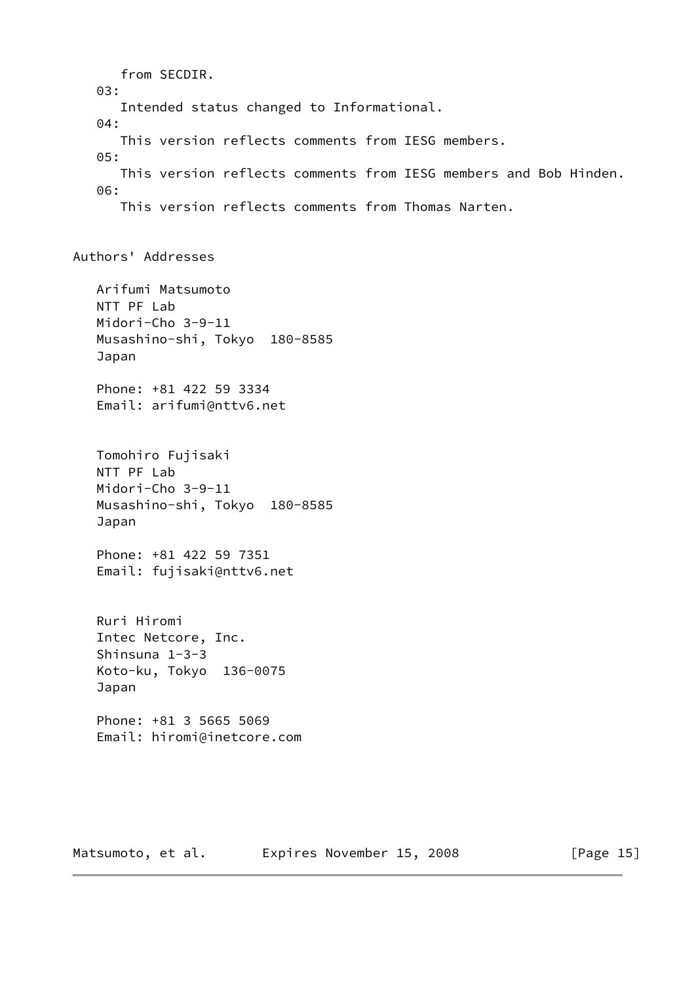from SECDIR. 03: Intended status changed to Informational. 04: This version reflects comments from IESG members. 05: This version reflects comments from IESG members and Bob Hinden. 06: This version reflects comments from Thomas Narten. Authors' Addresses Arifumi Matsumoto NTT PF Lab Midori-Cho 3-9-11 Musashino-shi, Tokyo 180-8585 Japan Phone: +81 422 59 3334 Email: arifumi@nttv6.net Tomohiro Fujisaki NTT PF Lab Midori-Cho 3-9-11 Musashino-shi, Tokyo 180-8585 Japan Phone: +81 422 59 7351 Email: fujisaki@nttv6.net Ruri Hiromi Intec Netcore, Inc. Shinsuna 1-3-3 Koto-ku, Tokyo 136-0075 Japan Phone: +81 3 5665 5069 Email: hiromi@inetcore.com

Matsumoto, et al. Expires November 15, 2008 [Page 15]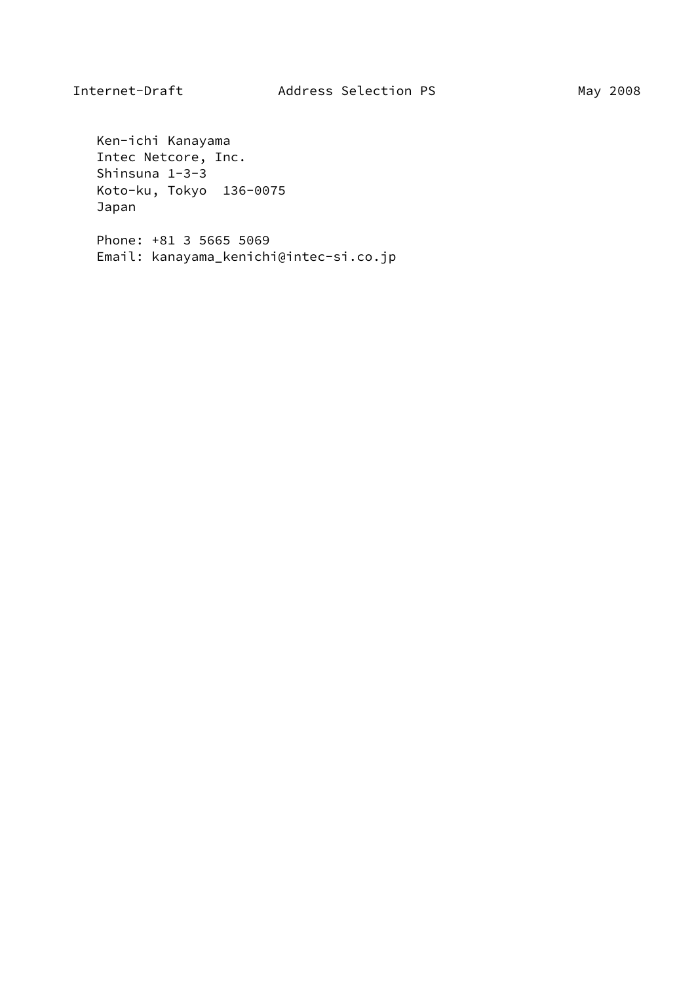Ken-ichi Kanayama Intec Netcore, Inc. Shinsuna 1-3-3 Koto-ku, Tokyo 136-0075 Japan

 Phone: +81 3 5665 5069 Email: kanayama\_kenichi@intec-si.co.jp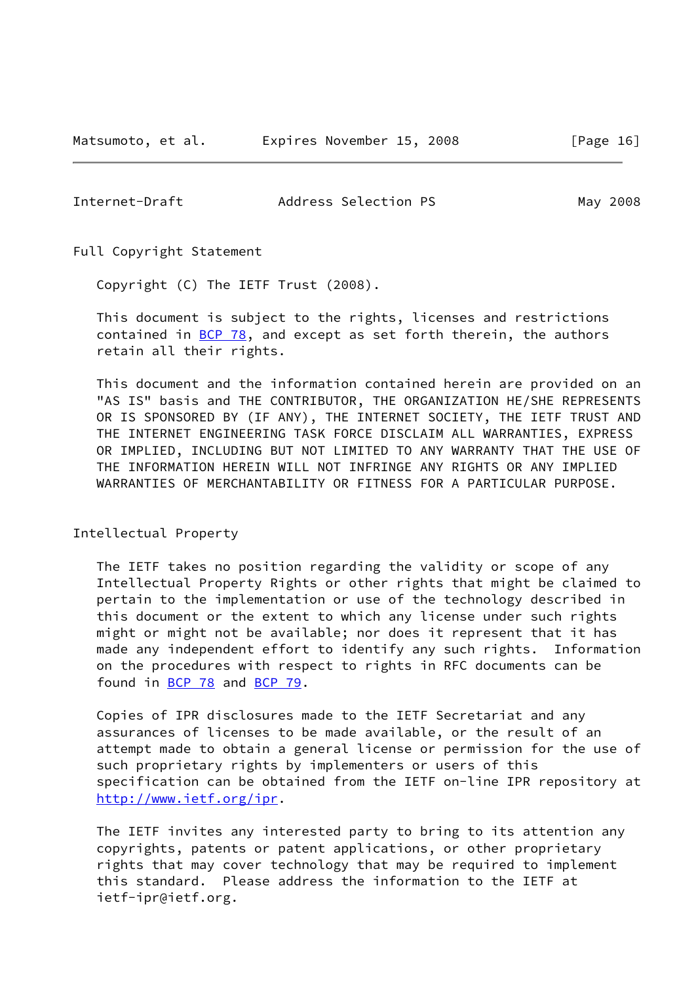Matsumoto, et al. **Expires November 15, 2008** [Page 16]

<span id="page-18-0"></span>Internet-Draft Address Selection PS May 2008

Full Copyright Statement

Copyright (C) The IETF Trust (2008).

 This document is subject to the rights, licenses and restrictions contained in  $BCP$  78, and except as set forth therein, the authors retain all their rights.

 This document and the information contained herein are provided on an "AS IS" basis and THE CONTRIBUTOR, THE ORGANIZATION HE/SHE REPRESENTS OR IS SPONSORED BY (IF ANY), THE INTERNET SOCIETY, THE IETF TRUST AND THE INTERNET ENGINEERING TASK FORCE DISCLAIM ALL WARRANTIES, EXPRESS OR IMPLIED, INCLUDING BUT NOT LIMITED TO ANY WARRANTY THAT THE USE OF THE INFORMATION HEREIN WILL NOT INFRINGE ANY RIGHTS OR ANY IMPLIED WARRANTIES OF MERCHANTABILITY OR FITNESS FOR A PARTICULAR PURPOSE.

Intellectual Property

 The IETF takes no position regarding the validity or scope of any Intellectual Property Rights or other rights that might be claimed to pertain to the implementation or use of the technology described in this document or the extent to which any license under such rights might or might not be available; nor does it represent that it has made any independent effort to identify any such rights. Information on the procedures with respect to rights in RFC documents can be found in [BCP 78](https://datatracker.ietf.org/doc/pdf/bcp78) and [BCP 79](https://datatracker.ietf.org/doc/pdf/bcp79).

 Copies of IPR disclosures made to the IETF Secretariat and any assurances of licenses to be made available, or the result of an attempt made to obtain a general license or permission for the use of such proprietary rights by implementers or users of this specification can be obtained from the IETF on-line IPR repository at <http://www.ietf.org/ipr>.

 The IETF invites any interested party to bring to its attention any copyrights, patents or patent applications, or other proprietary rights that may cover technology that may be required to implement this standard. Please address the information to the IETF at ietf-ipr@ietf.org.